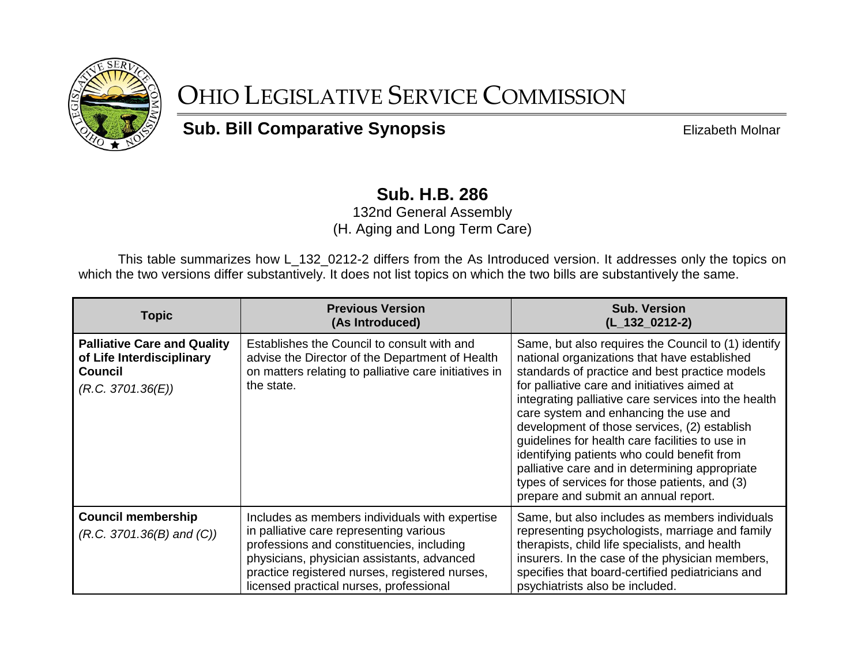

## OHIO LEGISLATIVE SERVICE COMMISSION

**Sub. Bill Comparative Synopsis Elizabeth Molnar** 

## **Sub. H.B. 286**

132nd General Assembly (H. Aging and Long Term Care)

This table summarizes how L\_132\_0212-2 differs from the As Introduced version. It addresses only the topics on which the two versions differ substantively. It does not list topics on which the two bills are substantively the same.

| <b>Topic</b>                                                                                           | <b>Previous Version</b><br>(As Introduced)                                                                                                                                                                                                                                        | <b>Sub. Version</b><br>$(L_132_0212-2)$                                                                                                                                                                                                                                                                                                                                                                                                                                                                                                                                                             |
|--------------------------------------------------------------------------------------------------------|-----------------------------------------------------------------------------------------------------------------------------------------------------------------------------------------------------------------------------------------------------------------------------------|-----------------------------------------------------------------------------------------------------------------------------------------------------------------------------------------------------------------------------------------------------------------------------------------------------------------------------------------------------------------------------------------------------------------------------------------------------------------------------------------------------------------------------------------------------------------------------------------------------|
| <b>Palliative Care and Quality</b><br>of Life Interdisciplinary<br><b>Council</b><br>(R.C. 3701.36(E)) | Establishes the Council to consult with and<br>advise the Director of the Department of Health<br>on matters relating to palliative care initiatives in<br>the state.                                                                                                             | Same, but also requires the Council to (1) identify<br>national organizations that have established<br>standards of practice and best practice models<br>for palliative care and initiatives aimed at<br>integrating palliative care services into the health<br>care system and enhancing the use and<br>development of those services, (2) establish<br>guidelines for health care facilities to use in<br>identifying patients who could benefit from<br>palliative care and in determining appropriate<br>types of services for those patients, and (3)<br>prepare and submit an annual report. |
| <b>Council membership</b><br>$(R.C. 3701.36(B)$ and $(C))$                                             | Includes as members individuals with expertise<br>in palliative care representing various<br>professions and constituencies, including<br>physicians, physician assistants, advanced<br>practice registered nurses, registered nurses,<br>licensed practical nurses, professional | Same, but also includes as members individuals<br>representing psychologists, marriage and family<br>therapists, child life specialists, and health<br>insurers. In the case of the physician members,<br>specifies that board-certified pediatricians and<br>psychiatrists also be included.                                                                                                                                                                                                                                                                                                       |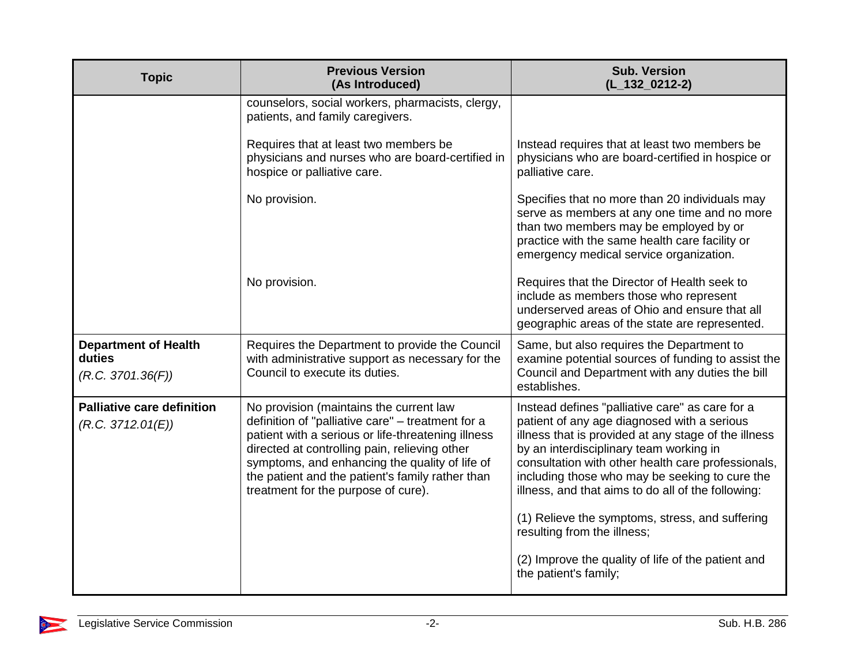| <b>Topic</b>                                               | <b>Previous Version</b><br>(As Introduced)                                                                                                                                                                                                                                                                                                       | <b>Sub. Version</b><br>$(L_132_0212-2)$                                                                                                                                                                                                                                                                                                                         |
|------------------------------------------------------------|--------------------------------------------------------------------------------------------------------------------------------------------------------------------------------------------------------------------------------------------------------------------------------------------------------------------------------------------------|-----------------------------------------------------------------------------------------------------------------------------------------------------------------------------------------------------------------------------------------------------------------------------------------------------------------------------------------------------------------|
|                                                            | counselors, social workers, pharmacists, clergy,<br>patients, and family caregivers.                                                                                                                                                                                                                                                             |                                                                                                                                                                                                                                                                                                                                                                 |
|                                                            | Requires that at least two members be<br>physicians and nurses who are board-certified in<br>hospice or palliative care.                                                                                                                                                                                                                         | Instead requires that at least two members be<br>physicians who are board-certified in hospice or<br>palliative care.                                                                                                                                                                                                                                           |
|                                                            | No provision.                                                                                                                                                                                                                                                                                                                                    | Specifies that no more than 20 individuals may<br>serve as members at any one time and no more<br>than two members may be employed by or<br>practice with the same health care facility or<br>emergency medical service organization.                                                                                                                           |
|                                                            | No provision.                                                                                                                                                                                                                                                                                                                                    | Requires that the Director of Health seek to<br>include as members those who represent<br>underserved areas of Ohio and ensure that all<br>geographic areas of the state are represented.                                                                                                                                                                       |
| <b>Department of Health</b><br>duties<br>(R.C. 3701.36(F)) | Requires the Department to provide the Council<br>with administrative support as necessary for the<br>Council to execute its duties.                                                                                                                                                                                                             | Same, but also requires the Department to<br>examine potential sources of funding to assist the<br>Council and Department with any duties the bill<br>establishes.                                                                                                                                                                                              |
| <b>Palliative care definition</b><br>(R.C. 3712.01(E))     | No provision (maintains the current law<br>definition of "palliative care" - treatment for a<br>patient with a serious or life-threatening illness<br>directed at controlling pain, relieving other<br>symptoms, and enhancing the quality of life of<br>the patient and the patient's family rather than<br>treatment for the purpose of cure). | Instead defines "palliative care" as care for a<br>patient of any age diagnosed with a serious<br>illness that is provided at any stage of the illness<br>by an interdisciplinary team working in<br>consultation with other health care professionals,<br>including those who may be seeking to cure the<br>illness, and that aims to do all of the following: |
|                                                            |                                                                                                                                                                                                                                                                                                                                                  | (1) Relieve the symptoms, stress, and suffering<br>resulting from the illness;                                                                                                                                                                                                                                                                                  |
|                                                            |                                                                                                                                                                                                                                                                                                                                                  | (2) Improve the quality of life of the patient and<br>the patient's family;                                                                                                                                                                                                                                                                                     |